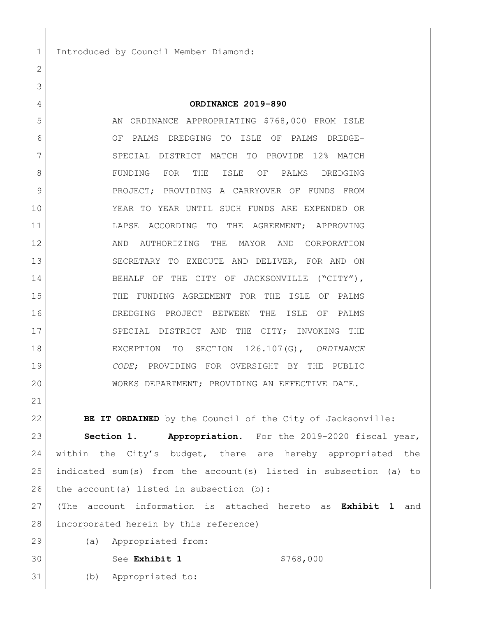Introduced by Council Member Diamond:

## **ORDINANCE 2019-890**

5 AN ORDINANCE APPROPRIATING \$768,000 FROM ISLE OF PALMS DREDGING TO ISLE OF PALMS DREDGE- SPECIAL DISTRICT MATCH TO PROVIDE 12% MATCH FUNDING FOR THE ISLE OF PALMS DREDGING PROJECT; PROVIDING A CARRYOVER OF FUNDS FROM YEAR TO YEAR UNTIL SUCH FUNDS ARE EXPENDED OR LAPSE ACCORDING TO THE AGREEMENT; APPROVING 12 AND AUTHORIZING THE MAYOR AND CORPORATION SECRETARY TO EXECUTE AND DELIVER, FOR AND ON 14 BEHALF OF THE CITY OF JACKSONVILLE ("CITY"), THE FUNDING AGREEMENT FOR THE ISLE OF PALMS DREDGING PROJECT BETWEEN THE ISLE OF PALMS 17 SPECIAL DISTRICT AND THE CITY; INVOKING THE EXCEPTION TO SECTION 126.107(G), *ORDINANCE CODE*; PROVIDING FOR OVERSIGHT BY THE PUBLIC WORKS DEPARTMENT; PROVIDING AN EFFECTIVE DATE.

**BE IT ORDAINED** by the Council of the City of Jacksonville:

 **Section 1. Appropriation.** For the 2019-2020 fiscal year, 24 | within the City's budget, there are hereby appropriated the indicated sum(s) from the account(s) listed in subsection (a) to 26 the account(s) listed in subsection (b):

 (The account information is attached hereto as **Exhibit 1** and 28 incorporated herein by this reference)

(a) Appropriated from:

See **Exhibit 1** \$768,000

(b) Appropriated to: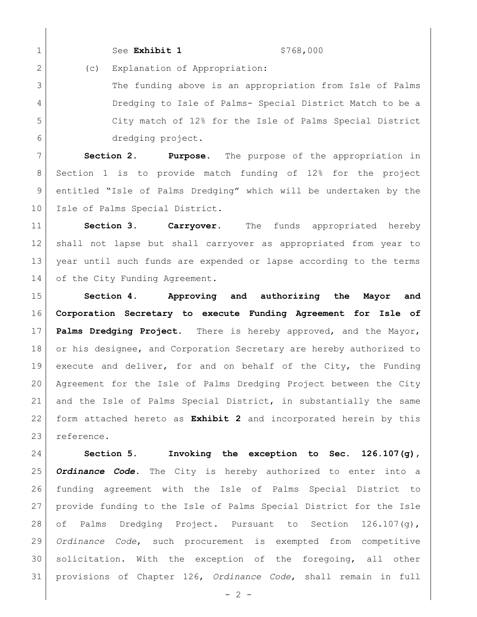1 See Exhibit 1 \$768,000

2 (c) Explanation of Appropriation:

3 The funding above is an appropriation from Isle of Palms Dredging to Isle of Palms- Special District Match to be a City match of 12% for the Isle of Palms Special District dredging project.

 **Section 2. Purpose.** The purpose of the appropriation in Section 1 is to provide match funding of 12% for the project entitled "Isle of Palms Dredging" which will be undertaken by the 10 | Isle of Palms Special District.

 **Section 3. Carryover.** The funds appropriated hereby shall not lapse but shall carryover as appropriated from year to year until such funds are expended or lapse according to the terms 14 of the City Funding Agreement.

 **Section 4. Approving and authorizing the Mayor and Corporation Secretary to execute Funding Agreement for Isle of Palms Dredging Project.** There is hereby approved, and the Mayor, 18 or his designee, and Corporation Secretary are hereby authorized to execute and deliver, for and on behalf of the City, the Funding Agreement for the Isle of Palms Dredging Project between the City and the Isle of Palms Special District, in substantially the same form attached hereto as **Exhibit 2** and incorporated herein by this reference.

 **Section 5. Invoking the exception to Sec. 126.107(g),**  *Ordinance Code***.** The City is hereby authorized to enter into a funding agreement with the Isle of Palms Special District to provide funding to the Isle of Palms Special District for the Isle of Palms Dredging Project. Pursuant to Section 126.107(g), *Ordinance Code*, such procurement is exempted from competitive solicitation. With the exception of the foregoing, all other provisions of Chapter 126, *Ordinance Code*, shall remain in full